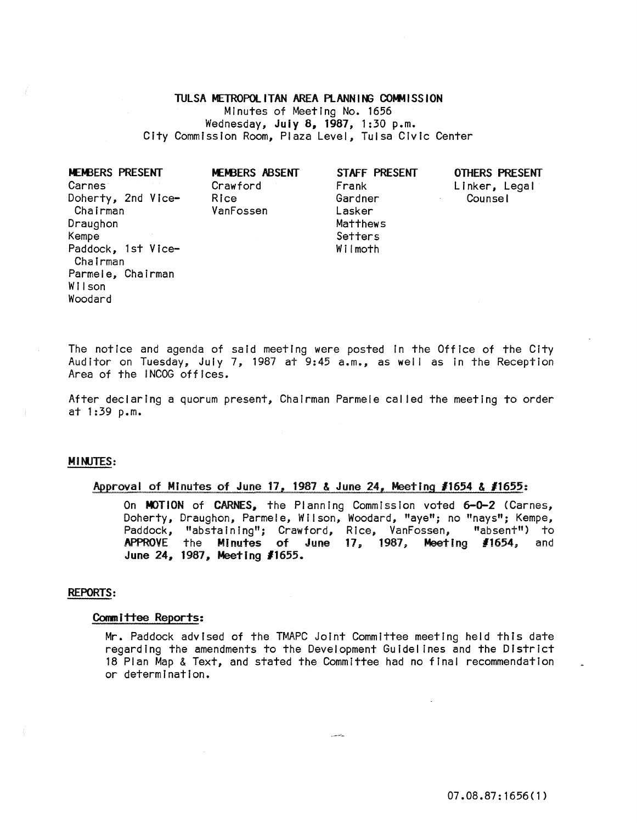# TULSA METROPOLITAN AREA PLANNING COMMISSION

Minutes of Meeting No. 1656 Wednesday, July 8, 1981, i:30 p.m. City Commission Room, Plaza Level, Tulsa Civic Center

| MEMBERS PRESENT    |  |  |  |  |
|--------------------|--|--|--|--|
| <b>Carnes</b>      |  |  |  |  |
| Doherty, 2nd Vice- |  |  |  |  |
| Chairman           |  |  |  |  |
| Draughon           |  |  |  |  |
| Kempe              |  |  |  |  |
| Paddock, 1st Vice- |  |  |  |  |
| Chairman           |  |  |  |  |
| Parmele, Chairman  |  |  |  |  |
| Wilson             |  |  |  |  |
| Woodard            |  |  |  |  |
|                    |  |  |  |  |

MEMBERS ABSENT Crawford Rice VanFossen

STAFF PRESENT Frank Gardner Lasker

Matthews **Setters** Wilmoth

# OTHERS PRESENT Linker, Legal Counsel

The notice and agenda of said meeting were posted In the Office of the City Auditor on Tuesday, July 7, 1987 at 9:45 a.m., as well as in the Reception Area of the INCOG offices.

After declaring a quorum present, Chairman Parmele cal led the meeting to order  $at$  1:39 p.m.

# MINJTES:

# Approval of Minutes of June 17, 1987 & June 24, Meeting *11654* & *11655:*

On MOTION of CARNES, the Planning Commission voted 6-0-2 (Carnes, Doherty, Draughon, Parmele, Wilson, Woodard, "aye"; no "nays"; Kempe,<br>Paddock, "abstaining"; Crawford, Rice, VanFossen, "absent") to Paddock, "abstaining"; Crawford, Rice, VanFossen, APPROVE the Minutes of June 17, 1987, Meeting #1654, and June 24, 1987, Meeting #1655.

#### REPORTS:

### Comm i ttee Reports:

Mr. Paddock advised of the TMAPC Joint Committee meeting held this date regarding the amendments to the Development Guidelines and the District 18 Plan Map & Text, and stated the Committee had no final recommendation or determination.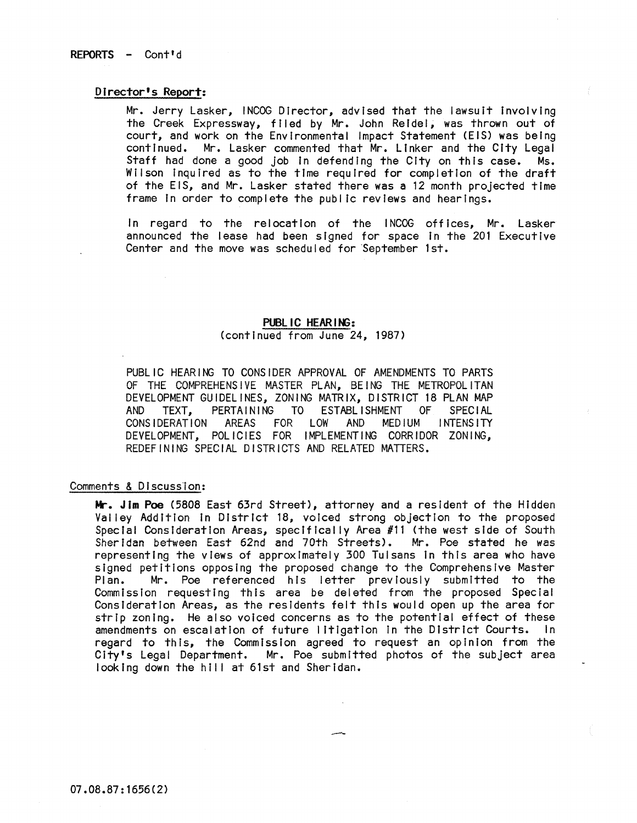# Director's Report:

Mr. Jerry Lasker, INCOG Director, advised that the lawsuit involving the Creek Expressway, filed by Mr. John Reidel, was thrown out of court, and work on the Environmental Impact Statement (EIS) was being continued. Mr. Lasker commented that Mr. Linker and the City Legal Staff had done a good job In defending the City on this case. Ms. Wilson Inquired as to the time required for completion of the draft of the EIS, and Mr. Lasker stated there was a 12 month projected time frame In order to complete the public reviews and hearings.

In regard to the relocation of the INCOG offices, Mr. Lasker announced the lease had been signed for space In the 201 Executive Center and the move was scheduled for September 1st.

# **PUBL IC HEARING:**

(continued from June 24, 1987)

PUBLIC HEARING TO CONSIDER APPROVAL OF AMENDMENTS TO PARTS OF THE COMPREHENSIVE MASTER PLAN, BEING THE METROPOLITAN DEVELOPMENT GUIDELINES, ZONING MATRIX, DISTRICT 18 PLAN MAP AND TEXT, PERTAINING TO ESTABLISHMENT OF SPECIAL CONSIDERATION AREAS FOR LOW AND MEDIUM INTENSITY DEVELOPMENT, POLICIES FOR IMPLEMENTING CORRIDOR ZONING, REDEFINING SPECIAL DISTRICTS AND RELATED MATTERS.

# Comments & Discussion:

**Mr.** Jim **Poe** (5808 East 63rd Street), attorney and a resident of the Hidden Valley Addition In District 18, voiced strong objection to the proposed Special Consideration Areas, specifically Area #11 (the west side of South Sheridan between East 62nd and 70th Streets). Mr. Poe stated he was representing the views of approximately 300 Tulsans tn this area who have signed petitions opposing the proposed change to the Comprehensive Master Plan. Mr. Poe referenced his letter previously submitted to the Commission requesting this area be deleted from the proposed Special Consideration Areas, as the residents felt this would open up the area for strip zoning. He also voiced concerns as to the potential effect of these amendments on escalation of future litigation In the District Courts. In regard to this, the Commission agreed to request an opinion from the City's Legal Department. Mr. Poe submitted photos of the subject area looking down the hill at 61st and Sheridan.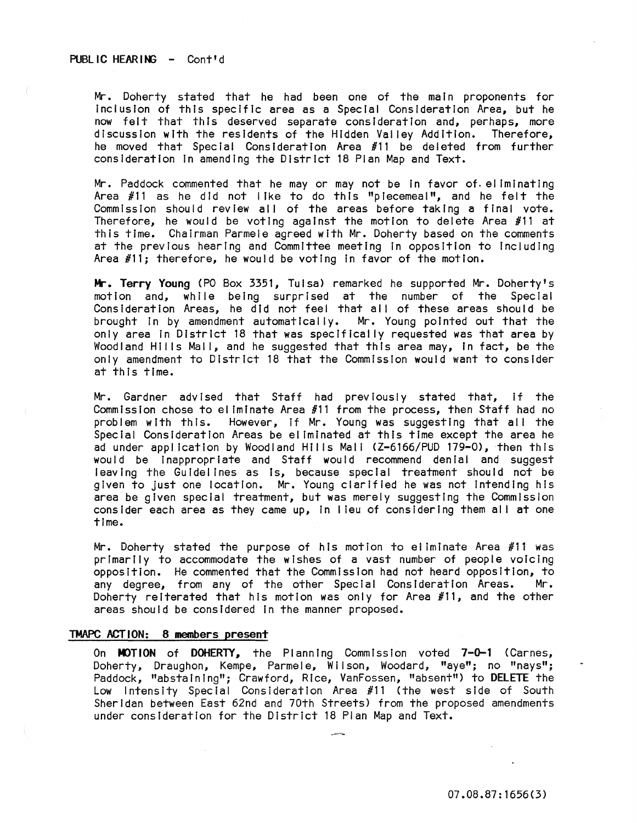# PUBLIC HEARING - Cont'd

Mr. Doherty stated that he had been one of the main proponents for Inclusion of this specific area as a Special Consideration Area, but he now felt that this deserved separate consideration and, perhaps, more discussion with the residents of the Hidden Valley Addition. Therefore, he moved that Special Consideration Area #11 be deleted from further consideration In amending the District 18 Plan Map and Text.

Mr. Paddock commented that he mayor may not be In favor of. eliminating Area #11 as he did not I ike to do this "piecemeal", and he felt the Commission should review all of the areas before taking a final vote. Therefore, he would be voting against the motion to delete Area  $#11$  at this time. Chairman Parmele agreed with Mr. Doherty based on the comments at the previous hearing and Committee meeting In opposition to Including Area #11; therefore, he would be voting In favor of the motion.

**Mr.** Terry Young (PO Box 3351, Tulsa) remarked he supported Mr. Doherty's motion and, while being surprised at the number of the Special Consideration Areas, he did not feel that all of these areas should be<br>brought in by amendment automatically. Mr. Young pointed out that the brought in by amendment automatically. only area In District 18 that was specifically requested was that area by Woodland Hills Mall, and he suggested that this area may, in fact, be the only amendment to District 18 that the Commission would want to consIder at this time.

Mr. Gardner advised that Staff had previously stated that, If the Commission chose to ei Iminate Area #11 from the process, then Staff had no problem with this. However, If Mr. Young was suggesting that all the Special Consideration Areas be eliminated at this time except the area he ad under application by Woodland Hills Mall (Z-6166/PUD 179-0), then this would be Inappropriate and Staff would recommend denial and suggest leaving the Guidelines as is, because special treatment should not be given to just one location. Mr. Young clarified he was not Intending his area be given special treatment, but was merely suggesting the Commission consider each area as they came up, in lieu of considering them all at one time.

Mr. Doherty stated the purpose of nls motion to ei iminate Area #11 was primarily to accommodate the wishes of a vast number of people voicing opposition. He commented that the Commission had not heard opposition, to any degree, from any of the other Special Consideration Areas. Mr. Doherty reiterated that his motion was only for Area #11, and the other areas should be considered In the manner proposed.

# TMAPC ACTION: 8 members present

On MOTION of DOHERTY, the Planning Commission voted 7-0-1 (Carnes, Doherty, Draughon, Kempe, Parmele, Wilson, Woodard, "aye"; no "nays"; Paddock, "abstaining"; Crawford, Rice, VanFossen, "absent") to DELETE the Low Intensity Special Consideration Area #11 (the west side of South Sheridan between East 62nd and 70th Streets) from the proposed amendments under consideration for the District 18 Plan Map and Text.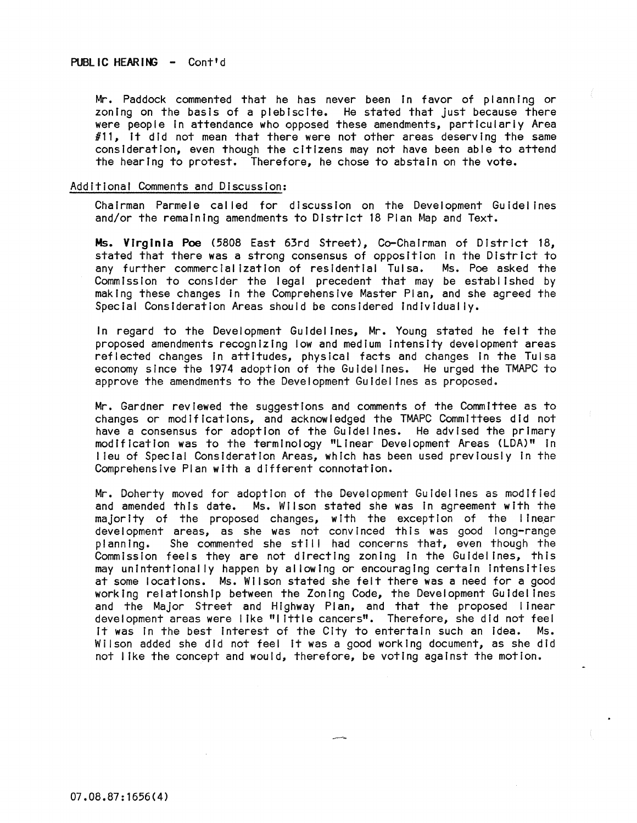Mr. Paddock commented that he has never been in favor of planning or zoning on the basis of a plebiscite. He stated that just because there were people In attendance who opposed these amendments, particularly Area  $#11$ , it did not mean that there were not other areas deserving the same consideration, even though the citizens may not have been able to attend the hearing to protest. Therefore, he chose to abstain on the vote.

### Additional Comments and Discussion:

Chairman Parmele called for discussion on the Development Guidelines and/or the remaining amendments to District 18 Plan Map and Text.

Ms. Virginia Poe (5808 East 63rd Street), Co-Chairman of District 18, stated that there was a strong consensus of opposition in the District to<br>any further commercialization of residential Tulsa. Ms. Poe asked the any further commercialization of residential Tulsa. Commission to consider the legal precedent that may be established by making these changes In the Comprehensive Master Plan, and she agreed the Special Consideration Areas should be considered Individually.

In regard to the Development Guidelines, Mr. Young stated he felt the proposed amendments recognizing low and medium Intensity development areas reflected changes In attitudes, physical facts and changes In the Tulsa economy since the 1974 adoption of the Guidelines. He urged the TMAPC to approve the amendments to the Development Guidelines as proposed.

Mr. Gardner reviewed the suggestions and comments of the Committee as to changes or modificatIons, and acknowledged the TMAPC Committees did not have a consensus for adoption of the Guidelines. He advised the primary modification was to the terminology "Linear Development Areas (LDA)" In I leu of Special Consideration Areas, which has been used previously in the Comprehensive Plan with a different connotation.

Mr. Doherty moved for adoption of the Development Guidelines as modified and amended this date. Ms. Wilson stated she was in agreement with the majority of the proposed changes, with the exception of the linear development areas, as she was not convinced this was good long-range planning. She commented she still had concerns that, even though the Commission feels they are not directing zoning In the Guidelines, this may unintentionally happen by al lowing or encouraging certain Intensities at some locations. Ms. Wilson stated she felt there was a need for a good working relationship between the Zoning Code, the Development Guidelines and the Major Street and Highway Plan, and that the proposed linear development areas were I Ike "little cancers". Therefore, she did not feel It was In the best Interest of the City to entertain such an Idea. Ms. Wilson added she did not feel it was a good working document, as she did not 1 Ike the concept and would, therefore, be voting against the motion.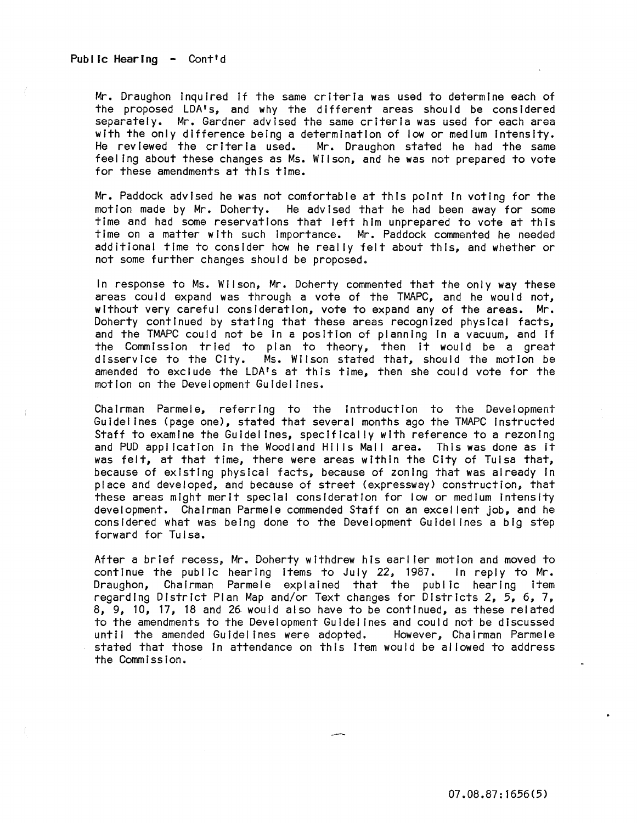Public Hearing - Cont'd

Mr. Draughon Inquired If the same criteria was used to determine each of the proposed LDA's, and why the different areas should be considered separately. Mr. Gardner advised the same criteria was used for each area with the only difference being a determination of low or medium intensity.<br>He reviewed the criteria used. Mr. Draughon stated he had the same Mr. Draughon stated he had the same feeling about these changes as Ms. Wilson, and he was not prepared to vote for these amendments at this time.

Mr. Paddock advised he was not comfortable at this point In voting for the motion made by Mr. Doherty. He advised that he had been away for some time and had some reservations that left him unprepared to vote at this time on a matter with such Importance. Mr. Paddock commented he needed additional time to consider how he really felt about this, and whether or not some further changes should be proposed.

In response to Ms. Wilson, Mr. Doherty commented that the only way these areas could expand was through a vote of the TMAPC, and he would not, without very careful consideration, vote to expand any of the areas. Mr. Doherty continued by stating that these areas recognized physical facts, and the TMAPC could not be In a position of planning In a vacuum, and If the Commission tried to plan to theory, then it would be a great disservice to the City. Ms. Wilson stated that, should the motion be amended to exclude the LDA's at this time, then she could vote for the motion on the Development Guldel ines.

Chairman Parmele, referring to the introduction to the Development Guidelines (page one), stated that several months ago the TMAPC Instructed Staff to examine the Guidelines, specifically with reference to a rezoning and PUD application in the Woodland Hills Mall area. This was done as it was felt, at that time, there were areas within the City of Tulsa that, because of existing physical facts, because of zoning that was already In place and developed, and because of street (expressway) construction, that these areas might merit special consideration for low or medium intensity development. Chairman Parmele commended Staff on an excel lent job, and he considered what was being done to the Development Guidelines a big step forward for Tulsa.

After a brief recess, Mr. Doherty withdrew his earlier motion and moved to continue the public hearing Items to July 22, 1987. In reply to Mr. Draughon, Chairman Parmele explained that the public hearing Item regarding District Plan Map and/or Text changes for Districts 2, 5, 6, 7, 8, 9, 10, 17, 18 and 26 would also have to be continued, as these related to the amendments to the Development Guidelines and could not be discussed<br>until the amended Guidelines were adopted. However, Chairman Parmele until the amended Guidelines were adopted. stated that those In attendance on this Item would be allowed to address the Commission.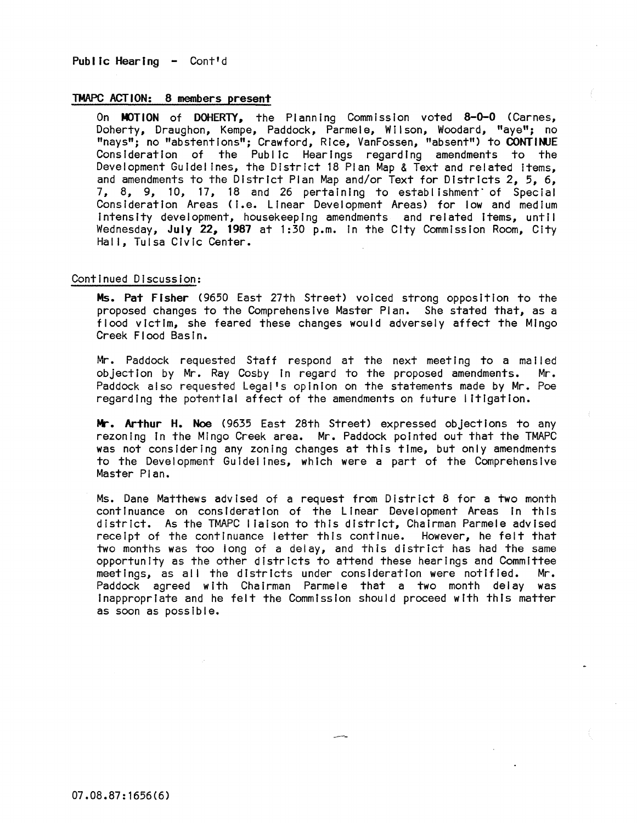Public Hearing - Cont'd

# TMAPC ACTION: 8 members present

On MOTION of DOHERTY. the Planning Commission voted 8-0-0 (Carnes, Doherty, Draughon, Kempe, Paddock, Parmele, Wilson, Woodard, "aye"; no "nays"; no "abstentions"; Crawford, Rice, VanFossen, "absent") to CONTINJE Consideration of the Public Hearings regarding amendments to the Development Guidelines, the District 18 Plan Map & Text and related items, and amendments to the District Plan Map and/or Text for Districts 2, 5, 6, 7, 8, 9, 10, 17, 18 and 26 pertaining to establishment· of Special Consideration Areas (i.e. Linear Development Areas) for low and medium Intensity development, housekeeping amendments and related Items, until Wednesday, July 22, 1987 at 1:30 p.m. in the City Commission Room, City Hall, Tulsa Civic Center.

### Continued Discussion:

Ms. Pat FIsher (9650 East 27th Street) voiced strong opposition to the proposed changes to the Comprehensive Master Plan. She stated that, as a flood victim, she feared these changes would adversely affect the Mingo Creek Flood Basin.

Mr. Paddock requested Staff respond at the next meeting to a mailed<br>objection by Mr. Ray Cosby in regard to the proposed amendments. Mr. objection by Mr. Ray Cosby in regard to the proposed amendments. Paddock also requested Lega!'s opinion on the statements made by Mr. Poe regarding the potential affect of the amendments on future litIgation.

Mr. Arthur H. Noe (9635 East 28th Street) expressed objections to any rezoning In the Mingo Creek area. Mr. Paddock pointed out that the TMAPC was not considering any zoning changes at this time, but only amendments to the Development Guidelines, which were a part of the Comprehensive Master Plan.

Ms. Dane Matthews advised of a request from District 8 for a two month continuance on consideration of the Linear Development Areas in this district. As the TMAPC I faison to this district, Chairman Parmele advised receipt of the continuance letter this continue. However, he felt that two months was too long of a delay, and this district has had the same opportunity as the other districts to attend these hearings and Committee meetings, as all the districts under consideration were notified. Mr. Paddock agreed with Chairman Parmele that a two month delay was Inappropriate and he felt the Commission should proceed with this matter as soon as possible.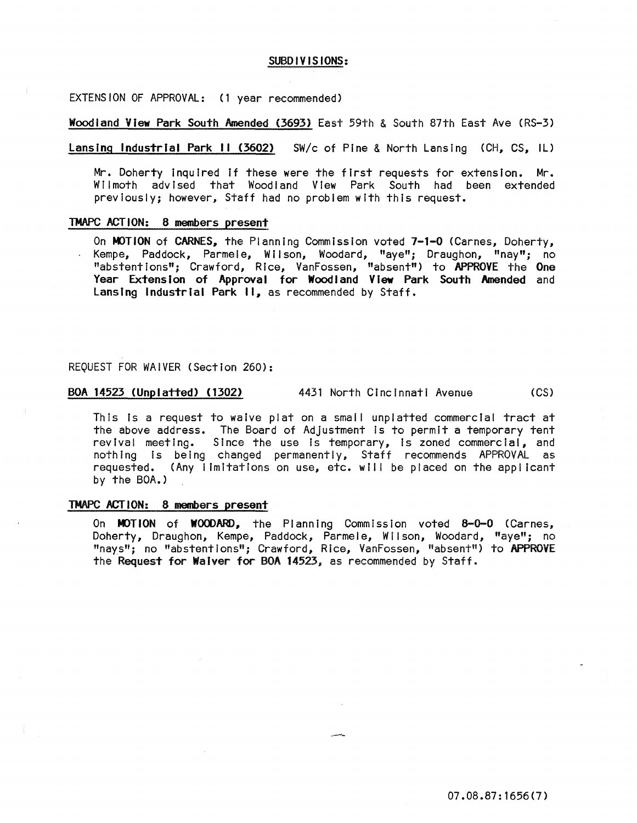### SUBDIVISIONS:

EXTENSION OF APPROVAL: (1 year recommended)

Woodland View Park South Amended (3693) East 59th & South 87th East Ave (RS-3)

lansing Industrial Park II (3602) SW/c of Pine & North Lansing (CH, CS, IL)

Mr. Doherty Inquired If these were the first requests for extension. Mr. Wilmoth advised that Woodland View Park South had been extended previously; however, Staff had no problem with this request.

#### TMAPC ACTION: 8 members present

On MOTION of CARNES, the Planning Commission voted 7-1-0 (Carnes, Doherty, Kempe, Paddock, Parmele, Wilson, Woodard, "aye"; Draughon, "nay"; no "abstentions"; Crawford, Rice, VanFossen, "absent") to APPROVE the One Year Extension of Approval for Woodland View Park South Amended and lansing Industrial Park **II,** as recommended by Staff.

# REQUEST FOR WAIVER (Section 260):

BOA 14523 (Unplatted) (1302) 4431 North Cincinnati Avenue (CS)

This is a request to waive plat on a small unplatted commercial tract at the above address. The Board of Adjustment Is to permit a temporary tent revival meeting. Since the use is temporary, is zoned commercial, and nothing Is being changed permanently. Staff recommends APPROVAL as requested. (Any I Imitations on use, etc. wll I be placed on the applicant by the BOA.)

#### TMAPC ACTION: 8 members present

On MOTION of WOODARD, the Planning Commission voted 8-0-0 (Carnes, Doherty, Draughon, Kempe, Paddock, Parmele, Wi Ison, Woodard, "aye"; no "nays"; no "abstentions"; Crawford, Rice, VanFossen, "absent") to APPROVE the Request for Waiver for BOA 14523, as recommended by Staff.

07.08.87: 1656(7)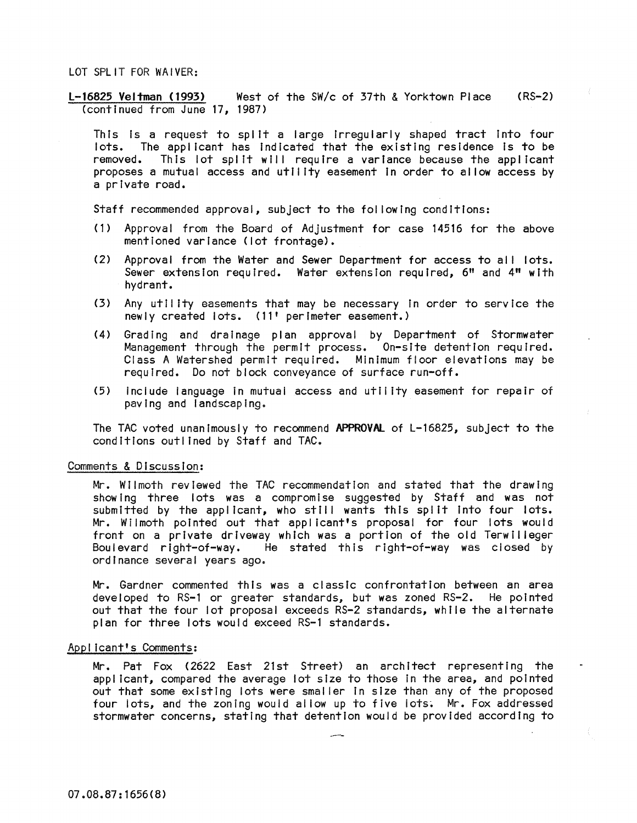## LOT SPLIT FOR WAIVER:

l-16825 Veltman (1993) West of the *SWlc* of 37th & Yorktown Place (RS-2) (continued from June 17, 1987)

This is a request to split a large irregularly shaped tract into four lots. The applicant has Indicated that the existing residence Is to be removed. This lot split will require a variance because the applicant proposes a mutual access and utility easement In order to al low access by a private road.

Staff recommended approval, subject to the fol lowing conditions:

- (1) Approval from the Board of Adjustment for case 14516 for the above mentioned variance (lot frontage).
- (2) Approval from the Water and Sewer Department for access to all lots. Sewer extension required. Water extension required, 6" and 4" with hydrant.
- (3) Any utility easements that may be necessary In order to service the newly created lots. (11' perimeter easement.)
- (4) Grading and drainage plan approval by Department of Stormwater Management through the permit process. On-site detention required. Class A Watershed permit required. Minimum floor elevations may be required. Do not block conveyance of surface run-off.
- (5) include language In mutual access and utii lty easement for repair of paving and landscaping.

The TAC voted unanimously to recommend APPROVAL of L-16825, subject to the conditions outlined by Staff and TAC.

### Comments & Discussion:

Mr. Wilmoth reviewed the TAC recommendation and stated that the drawing show Ing three lots was a compromise suggested by Staff and was not submitted by the applicant, who stili wants this spilt Into four lots. Mr. Wilmoth pointed out that applicant's proposal for four lots would front on a private driveway which was a portion of the old Terwilleger Boulevard right-of-way. He stated this right-of-way was closed by ordinance several years ago.

Mr. Gardner commented this was a classic confrontation between an area developed to RS-l or greater standards, but was zoned RS-2. He pointed out that the four lot proposal exceeds RS-2 standards, while the alternate plan for three lots would exceed RS-l standards.

# Applicant's Comments:

Mr. Pat Fox (2622 East 21st Street) an architect representing the applicant, compared the average lot size to those In the area, and pointed out that some existing lots were smaller In size than any of the proposed four lots, and the zoning would allow up to five lots. Mr. Fox addressed stormwater concerns, stating that detention would be provided according to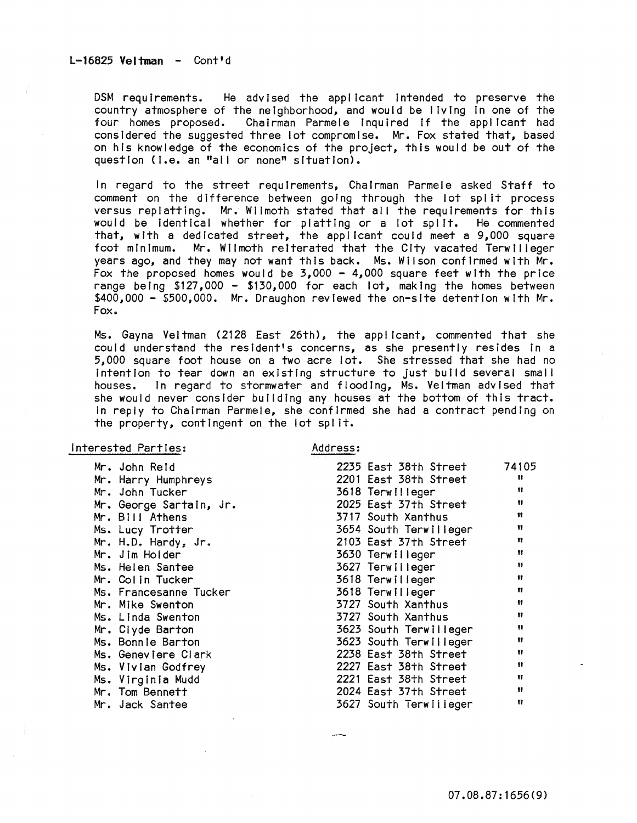# $L-16825$  Veltman - Cont'd

DSM requirements. He advised the applicant intended to preserve the country atmosphere of the neighborhood, and would be living In one of the four homes proposed. Chairman Parmele inquired if the applicant had considered the suggested three lot compromise. Mr. Fox stated that, based on his knowledge of the economics of the project, this would be out of the question (i.e. an "all or none" situation).

In regard to the street requirements, Chairman Parmele asked Staff to comment on the difference between going through the lot split process versus replatting. Mr. Wilmoth stated that all the requirements for this would be Identical whether for platting or a lot split. He commented that, with a dedicated street, the applicant could meet a 9,000 square<br>foot minimum. Mr. Wilmoth reiterated that the City vacated Terwilleger Mr. Wilmoth reiterated that the City vacated Terwilleger years ago, and they may not want this back. Ms. Wilson confirmed with Mr. Fox the proposed homes would be  $3,000 - 4,000$  square feet with the price range being \$127,000 - \$130,000 for each lot, making the homes between \$400,000 - \$500,000. Mr. Draughon reviewed the on-site detention with Mr. Fox.

Ms. Gayna Veltman (2128 East 26th), the applicant, commented that she could understand the resident's concerns, as she presently resides in a 5,000 square foot house on a two acre lot. She stressed that she had no Intention to tear down an existing structure to just build several small houses. In regard to stormwater and flooding, Ms. Veltman advised that she would never consider building any houses at the bottom of this tract. In reply to Chairman Parmele, she confirmed she had a contract pending on the property, contingent on the lot spl It.

### Interested Parties:

Address:

| Mr. John Reid           | 2235 East 38th Street  | 74105                |
|-------------------------|------------------------|----------------------|
| Mr. Harry Humphreys     | 2201 East 38th Street  | Ħ                    |
| Mr. John Tucker         | 3618 Terwilleger       | Ħ                    |
| Mr. George Sartain, Jr. | 2025 East 37th Street  | Ħ                    |
| Mr. Bill Athens         | 3717 South Xanthus     | n                    |
| Ms. Lucy Trotter        | 3654 South Terwilleger | Ħ                    |
| Mr. H.D. Hardy, Jr.     | 2103 East 37th Street  | Ħ                    |
| Mr. Jim Holder          | 3630 Terwilleger       | $\mathbf{H}$         |
| Ms. Helen Santee        | 3627 Terwilleger       | Ħ                    |
| Mr. Colin Tucker        | 3618 Terwilleger       | Ħ                    |
| Ms. Francesanne Tucker  | 3618 Terwilleger       | Ħ                    |
| Mr. Mike Swenton        | 3727 South Xanthus     | Ħ                    |
| Ms. Linda Swenton       | 3727 South Xanthus     | Ħ                    |
| Mr. Clyde Barton        | 3623 South Terwilleger | Ħ                    |
| Ms. Bonnie Barton       | 3623 South Terwilleger | Ħ                    |
| Ms. Geneviere Clark     | 2238 East 38th Street  | $\pmb{\mathfrak{m}}$ |
| Ms. Vivian Godfrey      | 2227 East 38th Street  | Ħ                    |
| Ms. Virginia Mudd       | 2221 East 38th Street  | ₩                    |
| Mr. Tom Bennett         | 2024 East 37th Street  | $\mathbf{H}$         |
| Mr. Jack Santee         | 3627 South Terwilleger | Ħ                    |
|                         |                        |                      |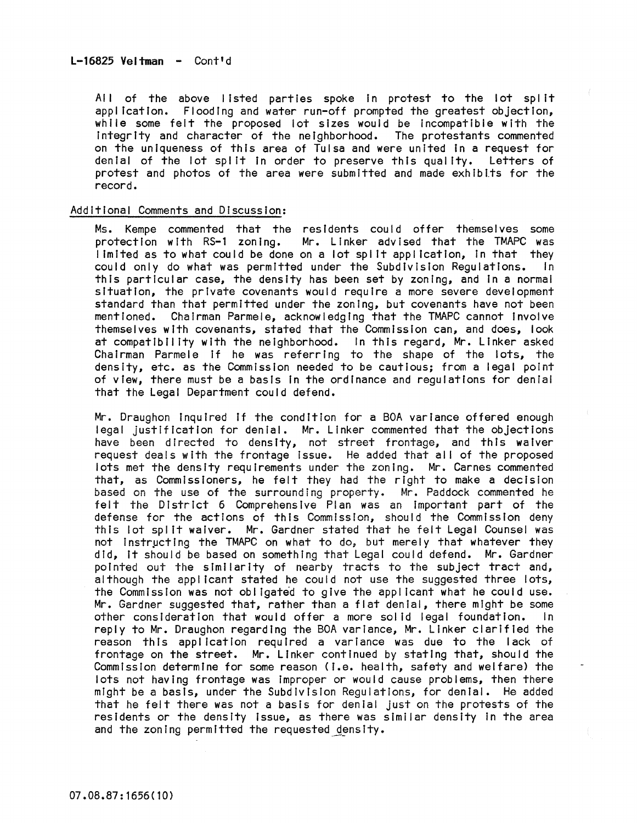All of the above listed parties spoke in protest to the lot split application. Flooding and water run-off prompted the greatest objection, while some felt the proposed lot sizes would be incompatible with the Integrity and character of the neighborhood. The protestants commented on the uniqueness of this area of Tulsa and were united In a request for denial of the lot split in order to preserve this quality. Letters of protest and photos of the area were submitted and made exhibits for the record.

# Additional Comments and Discussion:

Ms. Kempe commented that the residents could offer themselves some protection with RS-1 zoning. Mr. Linker advised that the TMAPC was limited as to what could be done on a lot split application, in that they could only do what was permitted under the Subdivision Requiations. In could only do what was permitted under the Subdivision Requiations. this particular case, the density has been set by zoning, and In a normal situation, the private covenants would require a more severe development standard than that permitted under the zoning, but covenants have not been mentioned. Chairman Parmele, acknowledging that the TMAPC cannot Involve themselves with covenants, stated that the Commission can, and does, look at compatibility with the neighborhood. In this regard, Mr. Linker asked Chairman Parmele if he was referring to the shape of the lots, the density, etc. as the Commission needed to be cautious; from a legal point of view, there must be a basis In the ordinance and regulations for denial that the Legal Department could defend.

Mr. Draughon Inquired If the condition for a BOA variance offered enough legal justification for denial. Mr. Linker commented that the objections have been directed to density, not street frontage, and this waiver request deals with the frontage Issue. He added that all of the proposed lots met the density requirements under the zoning. Mr. Carnes commented that, as Commissioners, he felt they had the right to make a decision based on the use of the surrounding property. Mr. Paddock commented he felt the District 6 Comprehensive Plan was an important part of the defense for the actions of this Commission, should the Commission deny this lot spl It waiver. Mr. Gardner stated that he felt Legal Counsel was not instructing the TMAPC on what to do, but merely that whatever they did, It should be based on something that Legal could defend. Mr. Gardner pointed out the similarity of nearby tracts to the subject tract and, although the applicant stated he could not use the suggested three lots, the Commission was not obi Igated to give the applicant what he could use. Mr. Gardner suggested that, rather than a flat denial, there might be some other consideration that would offer a more solid legal foundation. In reply to Mr. Draughon regarding the BOA variance, Mr. Linker clarified the reason this application required a variance was due to the lack of frontage on the street. Mr. Linker continued by stating that, should the Commission determine for some reason (I.e. health, safety and welfare) the lots not having frontage was Improper or would cause problems, then there might be a basis, under the Subdivision Regulations, for denial. He added that he felt there was not a basis for denial just on the protests of the residents or the density Issue, as there was similar density In the area and the zoning permitted the requested density.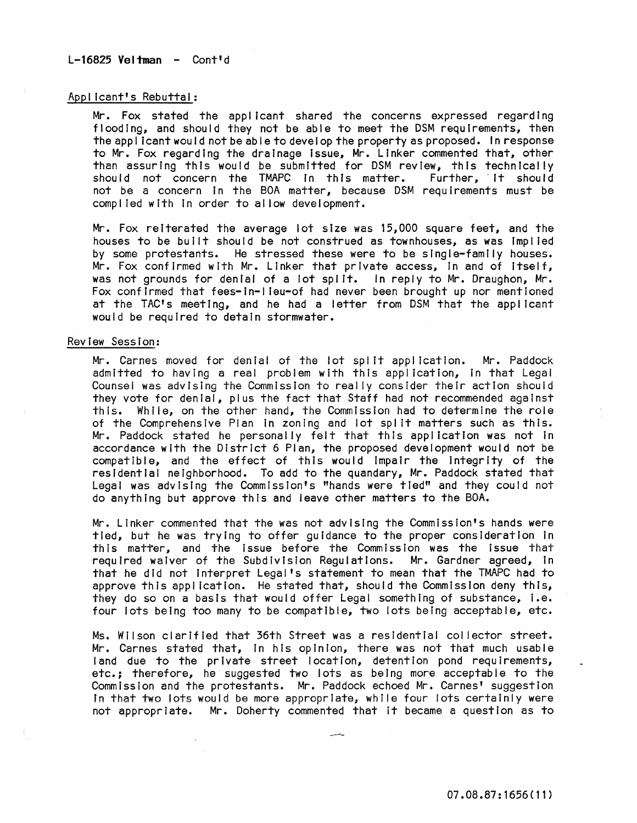# $L-16825$  Veltman - Cont'd

# Applicant's Rebuttal:

Mr. Fox stated the applicant shared the concerns expressed regarding flooding, and should they not be able to meet the DSM requirements, then the applicant would not be able to develop the property as proposed. In response to Mr. Fox regarding the drainage Issue, Mr. linker commented that, other than assuring this would be submitted for DSM review, this technically should not concern the TMAPC in this matter. Further, it should should not concern the TMAPC in this matter. not be a concern in the BOA matter, because DSM requirements must be compl led with In order to al low development.

Mr. Fox reiterated the average lot size was 15,000 square feet, and the houses to be built should be not construed as townhouses, as was Impl led by some protestants. He stressed these were to be single-family houses. Mr. Fox confirmed with Mr. linker that private access, In and of Itself, was not grounds for denial of a lot spl It. In reply to Mr. Draughon, Mr. Fox confirmed that fees-In-I leu-of had never been brought up nor mentioned at the TAC's meeting, and he had a letter from DSM that the applicant would be required to detain stormwater.

### Review Session:

Mr. Carnes moved for denial of the lot spilt application. Mr. Paddock admitted to having a real problem with this application, In that legal Counsel was advising the Commission to really consider their action should they vote for denial, plus the fact that Staff had not recommended against this. While, on the other hand, the Commission had to determine the role of the Comprehensive Plan In zoning and lot spl It matters such as this. Mr. Paddock stated he personally felt that this application was not in accordance with the District 6 Plan, the proposed development would not be compatible, and the effect of this would Impair the Integrity of the residential neighborhood. To add to the quandary, Mr. Paddock stated that legal was advising the Commission's "hands were tied" and they could not do anything but approve this and ieave other matters to the BOA.

Mr. linker commented that the was not advising the CommissIon's hands were tied, but he was trying to offer guidance to the proper consideration In this matter, and the issue before the Commission was the issue that required waiver of the Subdivision Regulations. Mr. Gardner agreed, In that he did not Interpret legal's statement to mean that the TMAPC had to approve this appl icatlon. He stated that, should the Commission deny this, they do so on a basis that would offer legal something of substance, I.e. four lots being too many to be compatible, two lots being acceptable, etc.

Ms. Wilson clarified that 36th Street was a residential col lector street. Mr. Carnes stated that, In his opinion, there was not that much usable land due to the private street location, detention pond requirements, etc.; therefore, he suggested two lots as being more acceptable to the Commission and the protestants. Mr. Paddock echoed Mr. Carnes' suggestion In that two lots would be more appropriate, while four lots certainly were not appropriate. Mr. Doherty commented that it became a question as to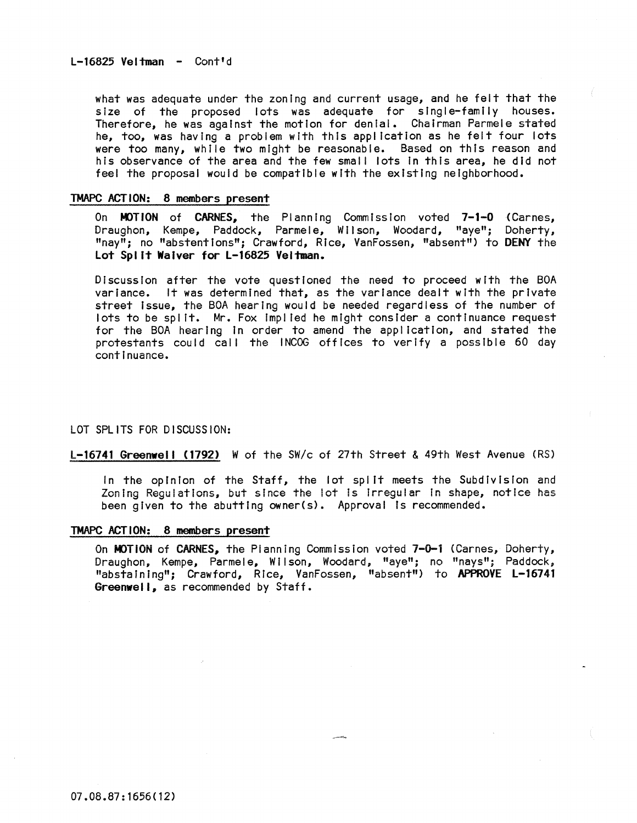what was adequate under the zoning and current usage, and he felt that the size of the proposed lots was adequate for single-family houses. Therefore, he was against the motion for denial. Chairman Parmele stated he, too, was having a problem with this application as he felt four lots were too many, while two might be reasonable. Based on this reason and his observance of the area and the few small lots In this area, he did not feel the proposal would be compatible with the existing neighborhood.

### TMAPC ACTION: 8 members present

On MOTION of CARNES, the Planning Commission voted 7-1-0 (Carnes, Draughon, Kempe, Paddock, Parmele, Wilson, Woodard, "aye"; Doherty, "nay"; no "abstentions"; Crawford, Rice, VanFossen, "absent") to DENY the Lot Split Waiver for L-16825 Veltman.

Discussion after the vote questioned the need to proceed with the BOA variance. It was determined that, as the variance dealt with the private street Issue, the BOA hearing would be needed regardless of the number of lots to be spl It. Mr. Fox Impl led he might consider a continuance request for the BOA hearing In order to amend the application, and stated the protestants could call the INCOG offices to verify a possible 60 day continuance.

### LOT SPLITS FOR DISCUSSION:

L-16741 Greenwell (1792) W of the SW/c of 27th Street & 49th West Avenue (RS)

In the opinion of the Staff, the lot split meets the Subdivision and Zoning Regulations, but since the lot is Irregular in shape, notice has been given to the abutting owner(s). Approval Is recommended.

### TMAPC ACTION: 8 members present

On MOTION of CARNES, the Planning Commission voted 7-0-1 (Carnes, Doherty, Draughon, Kempe, Parmele, Wilson, Woodard, "aye"; no "nays"; Paddock, "abstaining"; Crawford, Rice, VanFossen, "absent") to APPROVE L-16741 Greenwell, as recommended by Staff.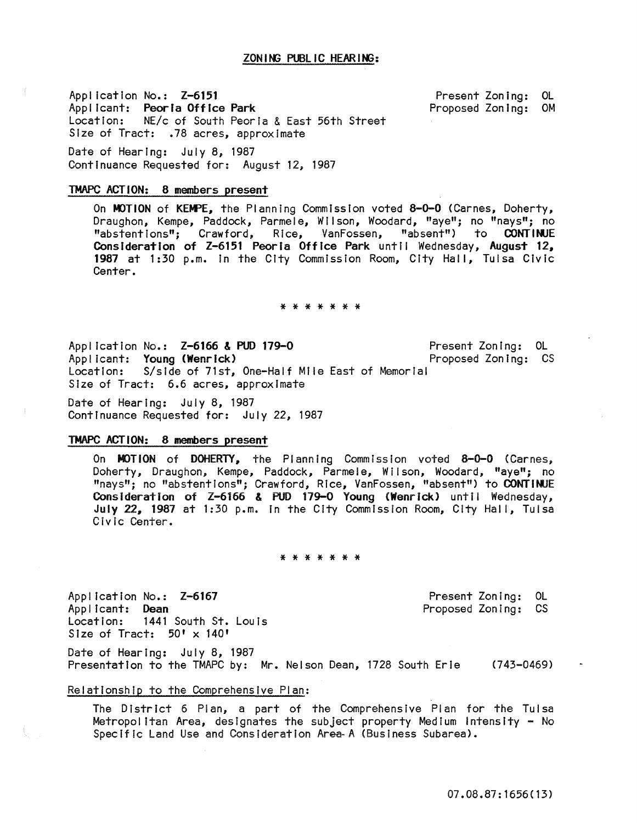# ZON ING PUBLIC HEARING:

Application No.: Z-6151 Applicant: Peoria Office Park location: NE/c of South Peoria & East 56th Street Size of Tract: .78 acres, approximate

Present Zoning: OL<br>Proposed Zoning: OM Proposed Zoning:

Date of Hearing: July 8, 1987 Continuance Requested for: August 12, 1987

# TMAPC ACTION: 8 members present

On MOTION of KEMPE, the Planning Commission voted 8-0-0 (Carnes, Doherty, Draughon, Kempe, Paddock, Parmele, Wilson, Woodard, "aye"; no "nays"; no "abstentions"; Crawford, Rice, VanFossen, "absent") to CONTINUE Consideration of Z-6151 Peoria Office Park until Wednesday, August 12, 1987 at 1:30 p.m. In the City Commission Room, City Hall, Tulsa CIvic Center.

### \* \* \* \* \* \* \*

Application No.: Z-6166 & PUD 179-0 Applicant: Young (Wenrick) Present Zoning: OL Proposed Zoning: CS Location: S/slde of 71st, One-Half Mile East of Memorial Size of Tract: 6.6 acres, approximate

Date of Hearing: July 8, 1987 Continuance Requested for: July 22, 1987

### TMAPC ACTION: 8 members present

On MOTION of DOHERTY. the Planning Commission voted 8-0-0 (Carnes, Doherty, Draughon, Kempe, Paddock, Parmele, Wilson, Woodard, "aye"; no "nays"; no "abstentions"; Crawford, Rice, VanFossen, "absent") to CONTINJE Consideration of Z-6166 & PUD 179-0 Young (Wenrick) until Wednesday, July 22. 1987 at 1:30 p.m. In the City Commission Room, City Hall, Tulsa Civic Center.

### \* \* \* \* \* \* \*

Appl ication No.: Z-6167 Applicant: Dean<br>Location: 1441 1441 South St. Louis Size of Tract: 50' x 140'

Present Zoning: OL Proposed Zoning: CS

Date of Hearing: July 8, 1987 Presentation to the TMAPC by: Mr. Nelson Dean, 1728 South Erie (743-0469)

# Relationship to the Comprehensive Plan:

The District 6 Plan, a part of the Comprehensive Plan for the Tulsa Metropolitan Area, designates the subject property Medium Intensity - No Specific Land Use and Consideration Area-A (BusIness Subarea).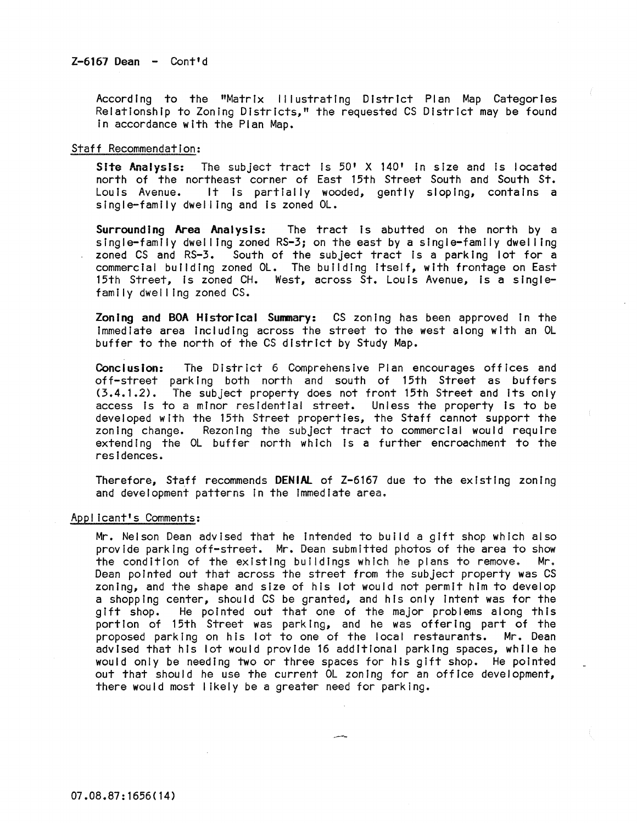According to the "Matrix Illustrating District Plan Map Categories RelatIonship to Zoning Districts," the requested CS District may be found In accordance with the Plan Map.

# Staff Recommendation:

Site Analysis: The subject tract is  $50'$  X 140' in size and is located north of the northeast corner of East 15th Street South and South St. Louis Avenue. It Is partially wooded, gently sloping, contains a single-family dwelling and is zoned OL.

Surrounding Area Analysis: The tract Is abutted on the north by a single-family dwelling zoned RS-3; on the east by a single-family dwelling zoned CS and RS-3. South of the subject tract is a parking lot for a commercial building zoned OL. The building itself, with frontage on East 15th Street, is zoned CH. West, across St. Louis Avenue, is a singlefamily dwel ling zoned CS.

Zoning and BOA Historical Summary: CS zoning has been approved in the Immediate area Including across the street to the west along with an OL buffer to the north of the CS district by Study Map.

Conclusion: The District 6 Comprehensive Plan encourages offices and off-street parking both north and south of 15th Street as buffers (3.4.1.2>. The subject property does not front 15th Street and Its only access is to a minor residential street. Unless the property is to be developed with the 15th Street properties, the Staff cannot support the zoning change. Rezoning the subject tract to commercial would require extending the OL buffer north which is a further encroachment to the residences.

Therefore, Staff recommends DENIAL of Z-6161 due to the existing zoning and development patterns In the Immediate area.

# Appl icant's Comments:

Mr. Nelson Dean advised that he Intended to build a gift shop which also provide parking off-street. Mr. Dean submitted photos of the area to show the condition of the existing buildings which he plans to remove. Mr. Dean pointed out that across the street from the subject property was CS zoning, and the shape and size of his lot would not permit him to develop a shopping center, should CS be granted, and his only intent was for the gift shop. He pointed out that one of the major problems along this portion of 15th Street was parking, and he was offering part of the proposed parking on his lot to one of the local restaurants. Mr. Dean advised that his lot would provide 16 additional parking spaces, while he would only be needing two or three spaces for his gift shop. He pointed out that should he use the current OL zoning for an office development, there would most likely be a greater need for parking.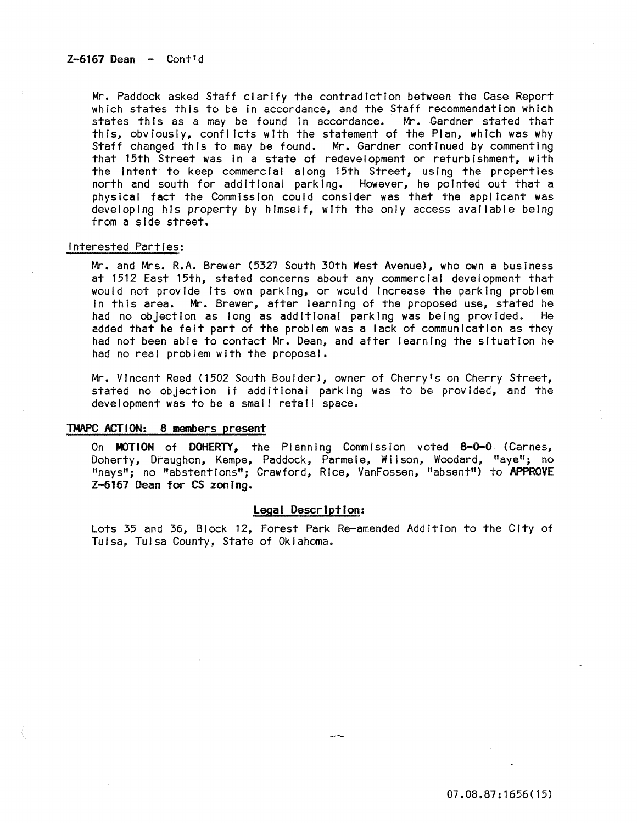Mr. Paddock asked Staff clarify the contradiction between the Case Report which states this to be in accordance, and the Staff recommendation which states this as a may be found in accordance. Mr. Gardner stated that this, obviously, conflicts with the statement of the Plan, which was why Staff changed this to may be found. Mr. Gardner continued by commenting that 15th Street was In a state of redevelopment or refurbishment, with the Intent to keep commercial along 15th Street, using the properties north and south for additIonal parking. However, he pointed out that a physical fact the Commission could consider was that the applicant was developing his property by himself, with the only access available being from a side street.

### Interested Parties:

Mr. and Mrs. R.A. Brewer (5327 South 30th West Avenue), who own a business at 1512 East 15th, stated concerns about any commercial development that would not provide Its own parking, or would Increase the parking problem In this area. Mr. Brewer, after learning of the proposed use, stated he had no objection as long as additional parking was being provided. He added that he felt part of the problem was a lack of communication as they had not been able to contact Mr. Dean, and after learning the situation he had no real problem with the proposal.

Mr. Vincent Reed (1502 South Boulder), owner of Cherry's on Cherry Street, stated no objection if additional parking was to be provided, and the development was to be a small retail space.

### TMAPC ACTION: 8 members present

On MOTION of DOHERTY, the Planning Commission voted 8-0-0 (Carnes, Doherty, Draughon, Kempe, Paddock, Parmele, Wi Ison, Woodard, "aye"; no "nays"; no "abstentions"; Crawford, Rice, VanFossen, "absent") to APPROVE Z-6167 Dean for CS zoning.

# legal Description:

Lots 35 and 36, Block 12, Forest Park Re-amended Addition to the City of Tulsa, Tulsa County, State of Oklahoma.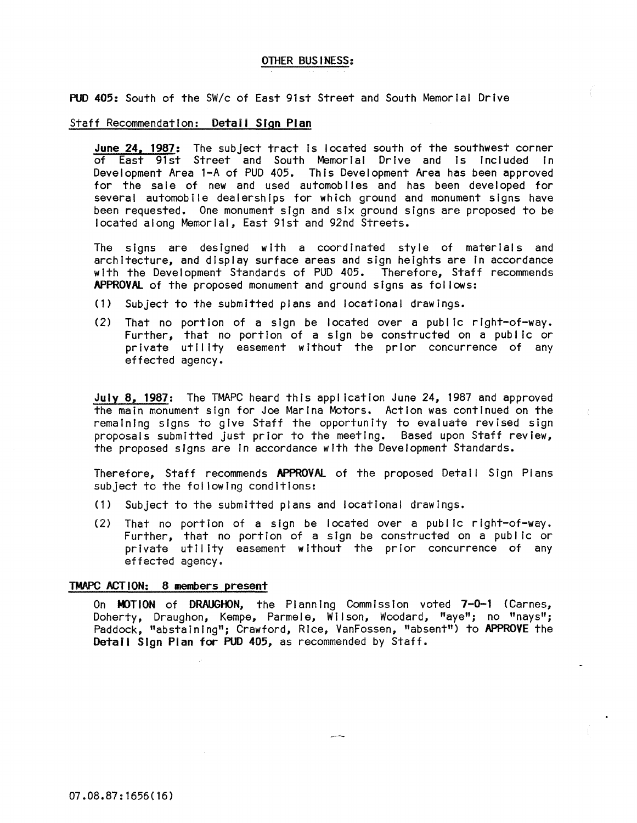# OTHER BUSINESS:

PUD 405: South of the *SWlc* of East 91st Street and South Memorial Drive

### Staff Recommendation: Detail Sign Plan

June 24, 1987: The subject tract is located south of the southwest corner of East 91st Street and South Memorial Drive and Is Included In Development Area l-A of PUD 405. This Development Area has been approved for the sale of new and used automobiles and has been developed for several automobile dealerships for which ground and monument signs have been requested. One monument sign and six ground signs are proposed to be located along Memorial, East 91st and 92nd Streets.

The signs are designed with a coordinated style of materials and architecture, and display surface areas and sign heights are In accordance with the Development Standards of PUD 405. Therefore, Staff recommends APPROVAl of the proposed monument and ground signs as follows:

- (1) Subject to the submitted plans and locatlonal drawings.
- (2) That no portion of a sign be located over a public right-of-way. Further, that no portion of a sign be constructed on a public or private utility easement without the prior concurrence of any effected agency.

July 8, 1987: The TMAPC heard this application June 24, 1987 and approved the main monument sign for Joe Marina Motors. Action was continued on the remaining signs to give Staff the opportunity to evaluate revised sign proposals submitted just prior to the meeting. Based upon Staff review, the proposed signs are In accordance with the Development Standards.

Therefore. Staff recommends APPROVAL of the proposed Detail Sign Plans subject to the fol lowing conditions:

- (1) Subject to the submitted plans and locatlonal drawings.
- (2) That no portion of a sign be located over a public right-of-way. Further, that no portion of a sign be constructed on a public or private utility easement without the prior concurrence of any effected agency.

# TMAPC ACTION: 8 members present

On MOTION of DRAUGHON, the Planning Commission voted 7-0-1 (Carnes, Doherty, Draughon, Kempe, Parmele, Wilson, Woodard, "aye"; no "nays"; Paddock, "abstaining"; Crawford, Rice, VanFossen, "absent") to APPROVE the Detail Sign Plan for PUD 405, as recommended by Staff.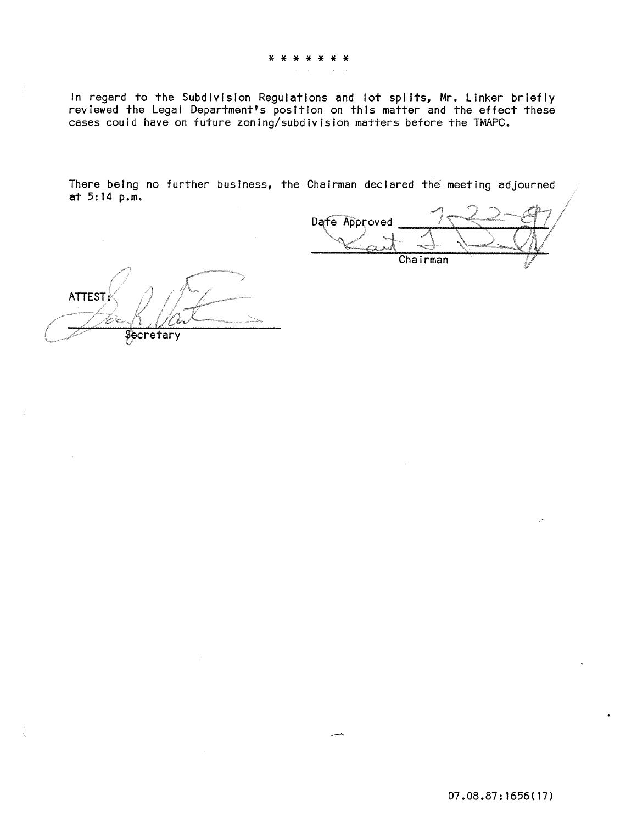In regard to the Subdivision Regulations and lot splits, Mr. Linker briefly reviewed the Legal Department's position on this matter and the effect these cases couid have on future zoning/subdivision matters before the TMAPC.

There being no further business, the Chairman declared the meeting adjourned at 5: 14 p.m.

Dafe Approved Chairman

**ATTEST** Şecretary